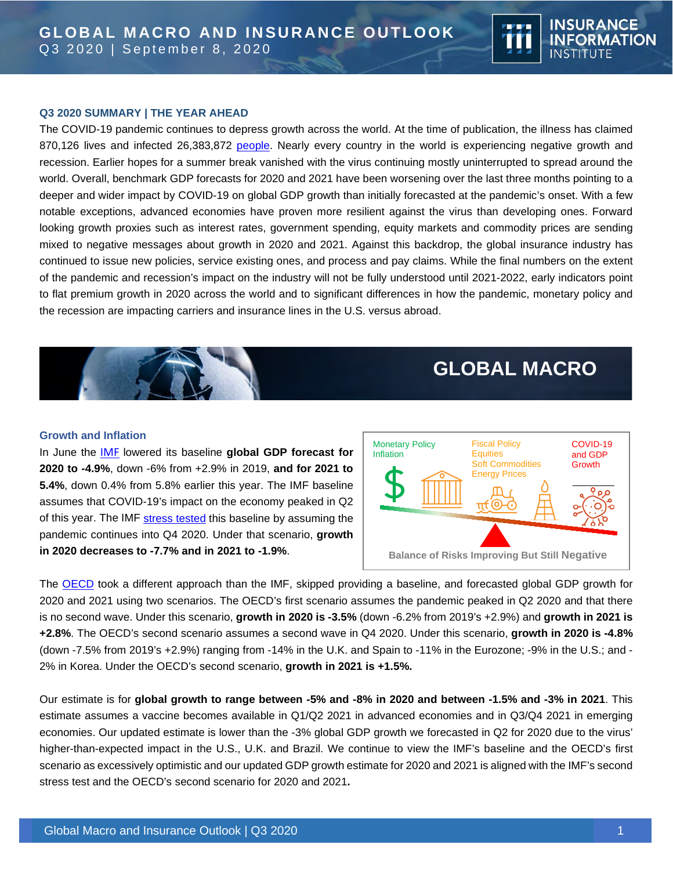

The COVID-19 pandemic continues to depress growth across the world. At the time of publication, the illness has claimed 870,126 lives and infected 26,383,872 [people.](https://coronavirus.jhu.edu/map.html) Nearly every country in the world is experiencing negative growth and recession. Earlier hopes for a summer break vanished with the virus continuing mostly uninterrupted to spread around the world. Overall, benchmark GDP forecasts for 2020 and 2021 have been worsening over the last three months pointing to a deeper and wider impact by COVID-19 on global GDP growth than initially forecasted at the pandemic's onset. With a few notable exceptions, advanced economies have proven more resilient against the virus than developing ones. Forward looking growth proxies such as interest rates, government spending, equity markets and commodity prices are sending mixed to negative messages about growth in 2020 and 2021. Against this backdrop, the global insurance industry has continued to issue new policies, service existing ones, and process and pay claims. While the final numbers on the extent of the pandemic and recession's impact on the industry will not be fully understood until 2021-2022, early indicators point to flat premium growth in 2020 across the world and to significant differences in how the pandemic, monetary policy and the recession are impacting carriers and insurance lines in the U.S. versus abroad.



## **GLOBAL MACRO**

**TERRIT E** 

**INSURANCE** 

**INSTITUTE** 

**INFORMATION** 

#### **Growth and Inflation**

In June the [IMF](https://www.imf.org/en/Publications/WEO/Issues/2020/06/24/WEOUpdateJune2020) lowered its baseline **global GDP forecast for 2020 to -4.9%**, down -6% from +2.9% in 2019, **and for 2021 to 5.4%**, down 0.4% from 5.8% earlier this year. The IMF baseline assumes that COVID-19's impact on the economy peaked in Q2 of this year. The IMF [stress tested](https://www.imf.org/en/Publications/WEO/Issues/2020/04/14/weo-april-2020) this baseline by assuming the pandemic continues into Q4 2020. Under that scenario, **growth in 2020 decreases to -7.7% and in 2021 to -1.9%**.



The [OECD](https://data.oecd.org/gdp/real-gdp-forecast.htm#indicator-chart) took a different approach than the IMF, skipped providing a baseline, and forecasted global GDP growth for 2020 and 2021 using two scenarios. The OECD's first scenario assumes the pandemic peaked in Q2 2020 and that there is no second wave. Under this scenario, **growth in 2020 is -3.5%** (down -6.2% from 2019's +2.9%) and **growth in 2021 is +2.8%**. The OECD's second scenario assumes a second wave in Q4 2020. Under this scenario, **growth in 2020 is -4.8%** (down -7.5% from 2019's +2.9%) ranging from -14% in the U.K. and Spain to -11% in the Eurozone; -9% in the U.S.; and - 2% in Korea. Under the OECD's second scenario, **growth in 2021 is +1.5%.** 

Our estimate is for **global growth to range between -5% and -8% in 2020 and between -1.5% and -3% in 2021**. This estimate assumes a vaccine becomes available in Q1/Q2 2021 in advanced economies and in Q3/Q4 2021 in emerging economies. Our updated estimate is lower than the -3% global GDP growth we forecasted in Q2 for 2020 due to the virus' higher-than-expected impact in the U.S., U.K. and Brazil. We continue to view the IMF's baseline and the OECD's first scenario as excessively optimistic and our updated GDP growth estimate for 2020 and 2021 is aligned with the IMF's second stress test and the OECD's second scenario for 2020 and 2021**.**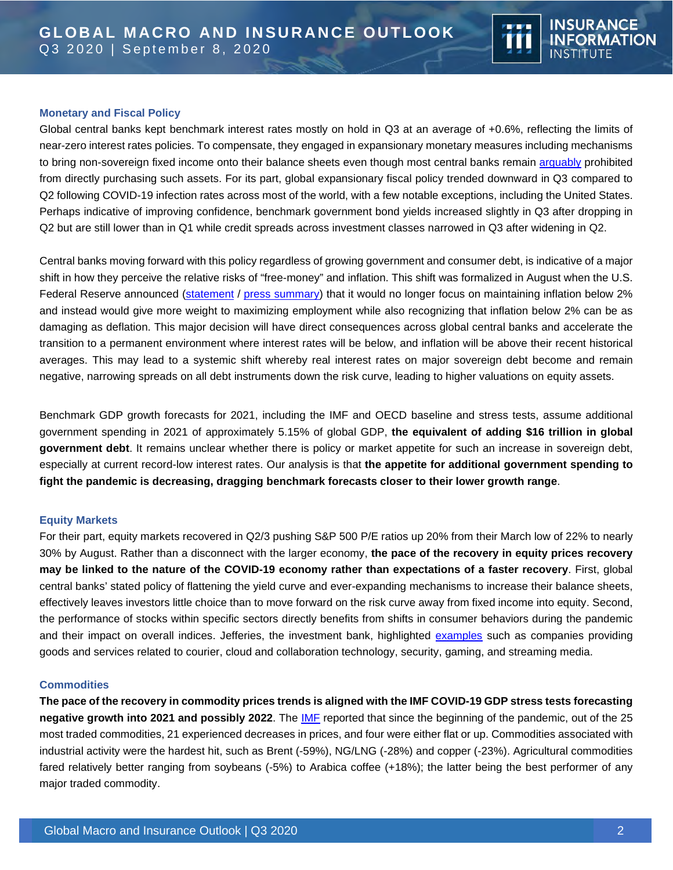

## **Monetary and Fiscal Policy**

Global central banks kept benchmark interest rates mostly on hold in Q3 at an average of +0.6%, reflecting the limits of near-zero interest rates policies. To compensate, they engaged in expansionary monetary measures including mechanisms to bring non-sovereign fixed income onto their balance sheets even though most central banks remain [arguably](https://www.hussmanfunds.com/comment/mc200712/) prohibited from directly purchasing such assets. For its part, global expansionary fiscal policy trended downward in Q3 compared to Q2 following COVID-19 infection rates across most of the world, with a few notable exceptions, including the United States. Perhaps indicative of improving confidence, benchmark government bond yields increased slightly in Q3 after dropping in Q2 but are still lower than in Q1 while credit spreads across investment classes narrowed in Q3 after widening in Q2.

Central banks moving forward with this policy regardless of growing government and consumer debt, is indicative of a major shift in how they perceive the relative risks of "free-money" and inflation. This shift was formalized in August when the U.S. Federal Reserve announced [\(statement](https://www.federalreserve.gov/monetarypolicy/files/FOMC_LongerRunGoals.pdf) / [press summary\)](https://www.cnbc.com/2020/08/27/powell-announces-new-fed-approach-to-inflation-that-could-keep-rates-lower-for-longer.html) that it would no longer focus on maintaining inflation below 2% and instead would give more weight to maximizing employment while also recognizing that inflation below 2% can be as damaging as deflation. This major decision will have direct consequences across global central banks and accelerate the transition to a permanent environment where interest rates will be below, and inflation will be above their recent historical averages. This may lead to a systemic shift whereby real interest rates on major sovereign debt become and remain negative, narrowing spreads on all debt instruments down the risk curve, leading to higher valuations on equity assets.

Benchmark GDP growth forecasts for 2021, including the IMF and OECD baseline and stress tests, assume additional government spending in 2021 of approximately 5.15% of global GDP, **the equivalent of adding \$16 trillion in global government debt**. It remains unclear whether there is policy or market appetite for such an increase in sovereign debt, especially at current record-low interest rates. Our analysis is that **the appetite for additional government spending to fight the pandemic is decreasing, dragging benchmark forecasts closer to their lower growth range**.

## **Equity Markets**

For their part, equity markets recovered in Q2/3 pushing S&P 500 P/E ratios up 20% from their March low of 22% to nearly 30% by August. Rather than a disconnect with the larger economy, **the pace of the recovery in equity prices recovery may be linked to the nature of the COVID-19 economy rather than expectations of a faster recovery**. First, global central banks' stated policy of flattening the yield curve and ever-expanding mechanisms to increase their balance sheets, effectively leaves investors little choice than to move forward on the risk curve away from fixed income into equity. Second, the performance of stocks within specific sectors directly benefits from shifts in consumer behaviors during the pandemic and their impact on overall indices. Jefferies, the investment bank, highlighted [examples](https://www.marketwatch.com/story/stock-winners-and-losers-in-the-post-covid-19-work-from-home-world-2020-04-24) such as companies providing goods and services related to courier, cloud and collaboration technology, security, gaming, and streaming media.

## **Commodities**

**The pace of the recovery in commodity prices trends is aligned with the IMF COVID-19 GDP stress tests forecasting negative growth into 2021 and possibly 2022**. The [IMF](https://www.imf.org/en/Publications/WEO/Issues/2020/04/14/weo-april-2020) reported that since the beginning of the pandemic, out of the 25 most traded commodities, 21 experienced decreases in prices, and four were either flat or up. Commodities associated with industrial activity were the hardest hit, such as Brent (-59%), NG/LNG (-28%) and copper (-23%). Agricultural commodities fared relatively better ranging from soybeans (-5%) to Arabica coffee (+18%); the latter being the best performer of any major traded commodity.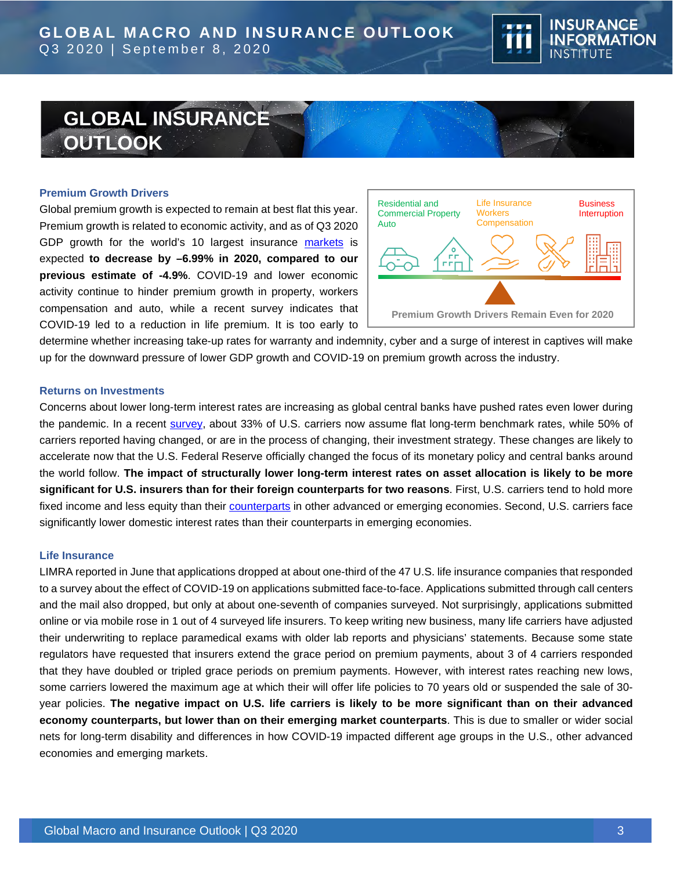

# **GLOBAL INSURANCE OUTLOOK**

### **Premium Growth Drivers**

Global premium growth is expected to remain at best flat this year. Premium growth is related to economic activity, and as of Q3 2020 GDP growth for the world's 10 largest insurance [markets](https://www.iii.org/publications/insurance-handbook/economic-and-financial-data/world-insurance-marketplace) is expected **to decrease by –6.99% in 2020, compared to our previous estimate of -4.9%**. COVID-19 and lower economic activity continue to hinder premium growth in property, workers compensation and auto, while a recent survey indicates that COVID-19 led to a reduction in life premium. It is too early to



determine whether increasing take-up rates for warranty and indemnity, cyber and a surge of interest in captives will make up for the downward pressure of lower GDP growth and COVID-19 on premium growth across the industry.

#### **Returns on Investments**

Concerns about lower long-term interest rates are increasing as global central banks have pushed rates even lower during the pandemic. In a recent [survey,](https://www.soa.org/globalassets/assets/files/resources/research-report/2020/impact-of-covid.pdf) about 33% of U.S. carriers now assume flat long-term benchmark rates, while 50% of carriers reported having changed, or are in the process of changing, their investment strategy. These changes are likely to accelerate now that the U.S. Federal Reserve officially changed the focus of its monetary policy and central banks around the world follow. **The impact of structurally lower long-term interest rates on asset allocation is likely to be more significant for U.S. insurers than for their foreign counterparts for two reasons**. First, U.S. carriers tend to hold more fixed income and less equity than their [counterparts](https://www.oecd.org/publications/oecd-insurance-statistics-2307843x.htm) in other advanced or emerging economies. Second, U.S. carriers face significantly lower domestic interest rates than their counterparts in emerging economies.

### **Life Insurance**

LIMRA reported in June that applications dropped at about one-third of the 47 U.S. life insurance companies that responded to a survey about the effect of COVID-19 on applications submitted face-to-face. Applications submitted through call centers and the mail also dropped, but only at about one-seventh of companies surveyed. Not surprisingly, applications submitted online or via mobile rose in 1 out of 4 surveyed life insurers. To keep writing new business, many life carriers have adjusted their underwriting to replace paramedical exams with older lab reports and physicians' statements. Because some state regulators have requested that insurers extend the grace period on premium payments, about 3 of 4 carriers responded that they have doubled or tripled grace periods on premium payments. However, with interest rates reaching new lows, some carriers lowered the maximum age at which their will offer life policies to 70 years old or suspended the sale of 30 year policies. **The negative impact on U.S. life carriers is likely to be more significant than on their advanced economy counterparts, but lower than on their emerging market counterparts**. This is due to smaller or wider social nets for long-term disability and differences in how COVID-19 impacted different age groups in the U.S., other advanced economies and emerging markets.